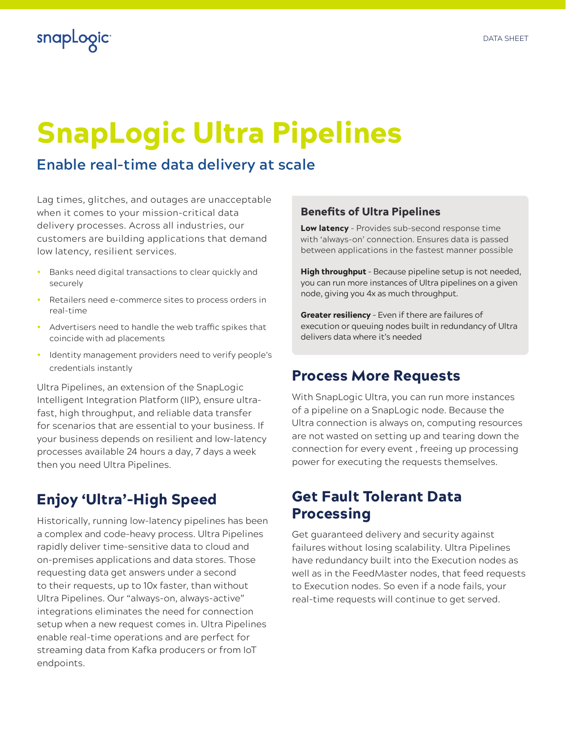

# SnapLogic Ultra Pipelines

# **Enable real-time data delivery at scale**

Lag times, glitches, and outages are unacceptable when it comes to your mission-critical data delivery processes. Across all industries, our customers are building applications that demand low latency, resilient services.

- Banks need digital transactions to clear quickly and securely
- Retailers need e-commerce sites to process orders in real-time
- Advertisers need to handle the web traffic spikes that coincide with ad placements
- Identity management providers need to verify people's credentials instantly

Ultra Pipelines, an extension of the SnapLogic Intelligent Integration Platform (IIP), ensure ultrafast, high throughput, and reliable data transfer for scenarios that are essential to your business. If your business depends on resilient and low-latency processes available 24 hours a day, 7 days a week then you need Ultra Pipelines.

# Enjoy 'Ultra'-High Speed

Historically, running low-latency pipelines has been a complex and code-heavy process. Ultra Pipelines rapidly deliver time-sensitive data to cloud and on-premises applications and data stores. Those requesting data get answers under a second to their requests, up to 10x faster, than without Ultra Pipelines. Our "always-on, always-active" integrations eliminates the need for connection setup when a new request comes in. Ultra Pipelines enable real-time operations and are perfect for streaming data from Kafka producers or from IoT endpoints.

#### Benefits of Ultra Pipelines

Low latency - Provides sub-second response time with 'always-on' connection. Ensures data is passed between applications in the fastest manner possible

High throughput - Because pipeline setup is not needed, you can run more instances of Ultra pipelines on a given node, giving you 4x as much throughput.

Greater resiliency - Even if there are failures of execution or queuing nodes built in redundancy of Ultra delivers data where it's needed

### Process More Requests

With SnapLogic Ultra, you can run more instances of a pipeline on a SnapLogic node. Because the Ultra connection is always on, computing resources are not wasted on setting up and tearing down the connection for every event , freeing up processing power for executing the requests themselves.

## Get Fault Tolerant Data Processing

Get guaranteed delivery and security against failures without losing scalability. Ultra Pipelines have redundancy built into the Execution nodes as well as in the FeedMaster nodes, that feed requests to Execution nodes. So even if a node fails, your real-time requests will continue to get served.